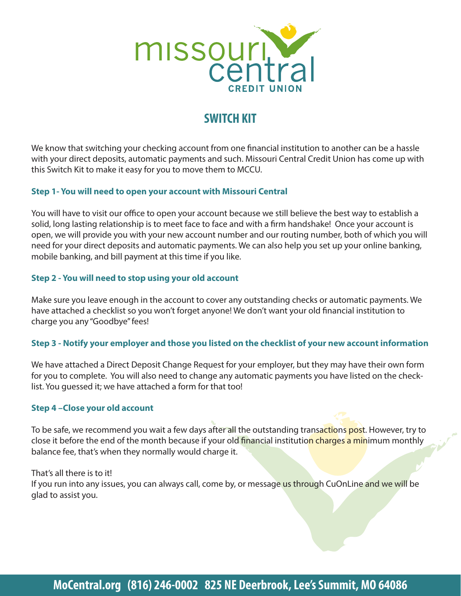

# **SWITCH KIT**

We know that switching your checking account from one financial institution to another can be a hassle with your direct deposits, automatic payments and such. Missouri Central Credit Union has come up with this Switch Kit to make it easy for you to move them to MCCU.

### Step 1- You will need to open your account with Missouri Central

You will have to visit our office to open your account because we still believe the best way to establish a solid, long lasting relationship is to meet face to face and with a firm handshake! Once your account is open, we will provide you with your new account number and our routing number, both of which you will need for your direct deposits and automatic payments. We can also help you set up your online banking, mobile banking, and bill payment at this time if you like.

### Step 2 - You will need to stop using your old account

Make sure you leave enough in the account to cover any outstanding checks or automatic payments. We have attached a checklist so you won't forget anyone! We don't want your old financial institution to charge you any "Goodbye" fees!

### Step 3 - Notify your employer and those you listed on the checklist of your new account information

We have attached a Direct Deposit Change Request for your employer, but they may have their own form for you to complete. You will also need to change any automatic payments you have listed on the checklist. You quessed it; we have attached a form for that too!

#### Step 4-Close your old account

To be safe, we recommend you wait a few days after all the outstanding transactions post. However, try to close it before the end of the month because if your old financial institution charges a minimum monthly balance fee, that's when they normally would charge it.

That's all there is to it! If you run into any issues, you can always call, come by, or message us through CuOnLine and we will be glad to assist you.

# MoCentral.org (816) 246-0002 825 NE Deerbrook, Lee's Summit, MO 64086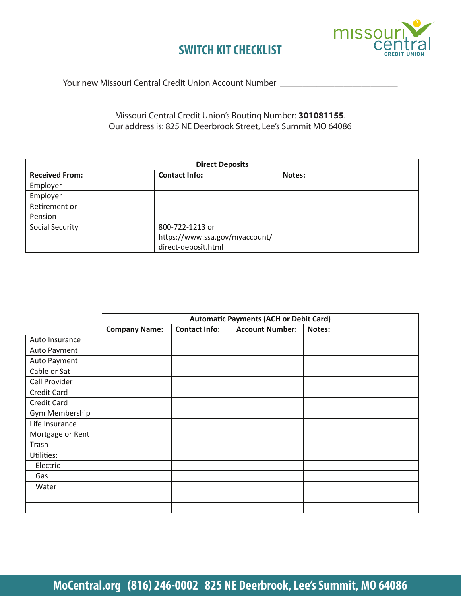

### SWITCH KIT CHECKLIST

 
\_\_\_\_\_\_\_\_\_\_\_\_\_\_\_\_\_\_\_\_\_\_\_\_\_\_

### Missouri Central Credit Union's Routing Number: **301081155**. Our address is: 825 NE Deerbrook Street, Lee's Summit MO 64086

| <b>Direct Deposits</b> |                                |        |  |  |  |  |
|------------------------|--------------------------------|--------|--|--|--|--|
| <b>Received From:</b>  | <b>Contact Info:</b>           | Notes: |  |  |  |  |
| Employer               |                                |        |  |  |  |  |
| Employer               |                                |        |  |  |  |  |
| Retirement or          |                                |        |  |  |  |  |
| Pension                |                                |        |  |  |  |  |
| Social Security        | 800-722-1213 or                |        |  |  |  |  |
|                        | https://www.ssa.gov/myaccount/ |        |  |  |  |  |
|                        | direct-deposit.html            |        |  |  |  |  |

|                    | <b>Automatic Payments (ACH or Debit Card)</b> |                      |                        |        |
|--------------------|-----------------------------------------------|----------------------|------------------------|--------|
|                    | <b>Company Name:</b>                          | <b>Contact Info:</b> | <b>Account Number:</b> | Notes: |
| Auto Insurance     |                                               |                      |                        |        |
| Auto Payment       |                                               |                      |                        |        |
| Auto Payment       |                                               |                      |                        |        |
| Cable or Sat       |                                               |                      |                        |        |
| Cell Provider      |                                               |                      |                        |        |
| <b>Credit Card</b> |                                               |                      |                        |        |
| <b>Credit Card</b> |                                               |                      |                        |        |
| Gym Membership     |                                               |                      |                        |        |
| Life Insurance     |                                               |                      |                        |        |
| Mortgage or Rent   |                                               |                      |                        |        |
| Trash              |                                               |                      |                        |        |
| Utilities:         |                                               |                      |                        |        |
| Electric           |                                               |                      |                        |        |
| Gas                |                                               |                      |                        |        |
| Water              |                                               |                      |                        |        |
|                    |                                               |                      |                        |        |
|                    |                                               |                      |                        |        |

# MoCentral.org (816) 246-0002 825 NE Deerbrook, Lee's Summit, MO 64086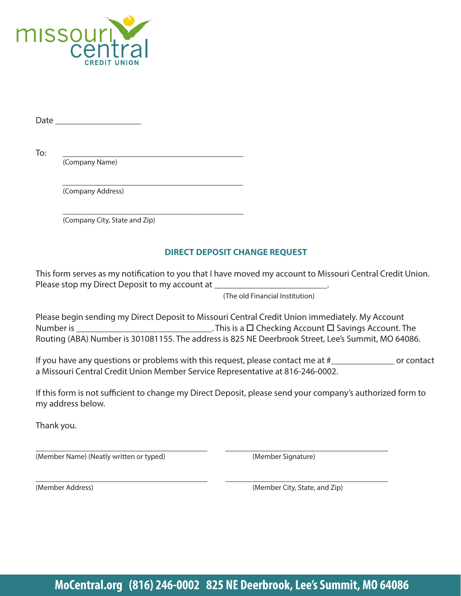

Date \_\_\_\_\_\_\_\_\_\_\_\_\_\_\_\_\_\_\_

To: \_\_\_\_\_\_\_\_\_\_\_\_\_\_\_\_\_\_\_\_\_\_\_\_\_\_\_\_\_\_\_\_\_\_\_\_\_\_\_\_

(Company Name)

 \_\_\_\_\_\_\_\_\_\_\_\_\_\_\_\_\_\_\_\_\_\_\_\_\_\_\_\_\_\_\_\_\_\_\_\_\_\_\_\_ (Company Address)

 \_\_\_\_\_\_\_\_\_\_\_\_\_\_\_\_\_\_\_\_\_\_\_\_\_\_\_\_\_\_\_\_\_\_\_\_\_\_\_\_ (Company City, State and Zip)

### **DIRECT DEPOSIT CHANGE REQUEST**

This form serves as my notification to you that I have moved my account to Missouri Central Credit Union. Please stop my Direct Deposit to my account at \_\_\_\_\_\_\_\_\_\_\_\_\_\_\_\_\_\_\_\_\_\_\_\_\_\_\_\_\_\_\_\_\_

(The old Financial Institution)

Please begin sending my Direct Deposit to Missouri Central Credit Union immediately. My Account Number is \_\_\_\_\_\_\_\_\_\_\_\_\_\_\_\_\_\_\_\_\_\_\_\_\_\_\_\_\_\_. This is a Checking Account Savings Account. The Routing (ABA) Number is 301081155. The address is 825 NE Deerbrook Street, Lee's Summit, MO 64086.

If you have any questions or problems with this request, please contact me at #\_\_\_\_\_\_\_\_\_\_\_\_\_\_ or contact a Missouri Central Credit Union Member Service Representative at 816-246-0002.

If this form is not sufficient to change my Direct Deposit, please send your company's authorized form to my address below.

\_\_\_\_\_\_\_\_\_\_\_\_\_\_\_\_\_\_\_\_\_\_\_\_\_\_\_\_\_\_\_\_\_\_\_\_\_\_ \_\_\_\_\_\_\_\_\_\_\_\_\_\_\_\_\_\_\_\_\_\_\_\_\_\_\_\_\_\_\_\_\_\_\_\_

Thank you.

(Member Name) (Neatly written or typed) (Member Signature)

\_\_\_\_\_\_\_\_\_\_\_\_\_\_\_\_\_\_\_\_\_\_\_\_\_\_\_\_\_\_\_\_\_\_\_\_\_\_ \_\_\_\_\_\_\_\_\_\_\_\_\_\_\_\_\_\_\_\_\_\_\_\_\_\_\_\_\_\_\_\_\_\_\_\_ (Member Address) (Member City, State, and Zip)